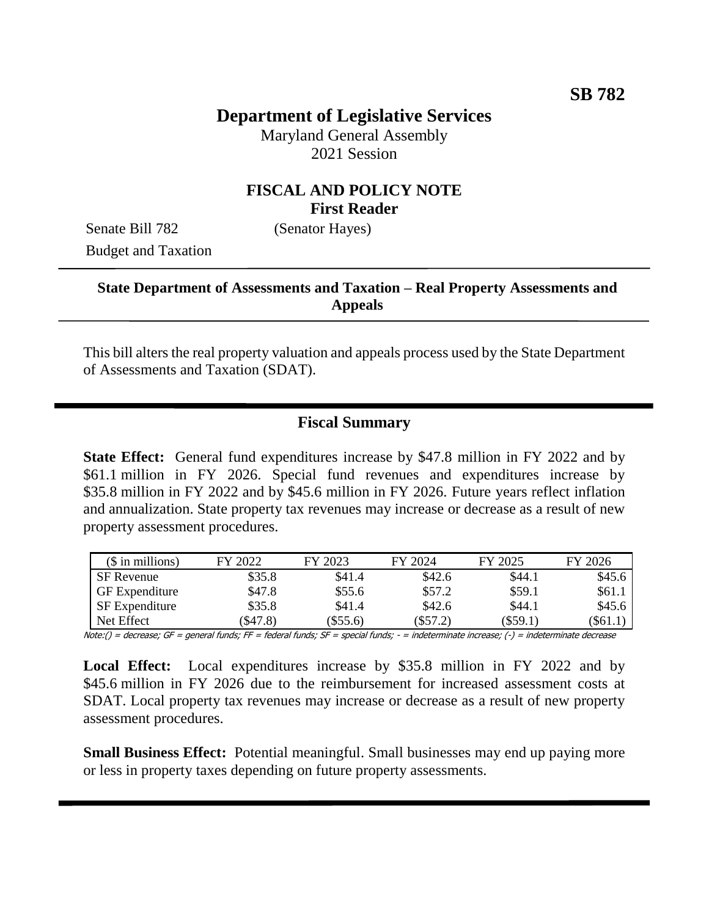# **Department of Legislative Services**

Maryland General Assembly 2021 Session

#### **FISCAL AND POLICY NOTE First Reader**

Senate Bill 782 (Senator Hayes) Budget and Taxation

#### **State Department of Assessments and Taxation – Real Property Assessments and Appeals**

This bill alters the real property valuation and appeals process used by the State Department of Assessments and Taxation (SDAT).

## **Fiscal Summary**

**State Effect:** General fund expenditures increase by \$47.8 million in FY 2022 and by \$61.1 million in FY 2026. Special fund revenues and expenditures increase by \$35.8 million in FY 2022 and by \$45.6 million in FY 2026. Future years reflect inflation and annualization. State property tax revenues may increase or decrease as a result of new property assessment procedures.

| $($$ in millions)     | FY 2022 | FY 2023  | FY 2024    | FY 2025    | FY 2026 |
|-----------------------|---------|----------|------------|------------|---------|
| <b>SF</b> Revenue     | \$35.8  | \$41.4   | \$42.6     | \$44.1     | \$45.6  |
| <b>GF</b> Expenditure | \$47.8  | \$55.6   | \$57.2     | \$59.1     | \$61.1  |
| SF Expenditure        | \$35.8  | \$41.4   | \$42.6     | \$44.1     | \$45.6  |
| Net Effect            | \$47.8  | (\$55.6) | $(\$57.2)$ | $(\$59.1)$ | \$61.1  |

Note:() = decrease; GF = general funds; FF = federal funds; SF = special funds; - = indeterminate increase; (-) = indeterminate decrease

**Local Effect:** Local expenditures increase by \$35.8 million in FY 2022 and by \$45.6 million in FY 2026 due to the reimbursement for increased assessment costs at SDAT. Local property tax revenues may increase or decrease as a result of new property assessment procedures.

**Small Business Effect:** Potential meaningful. Small businesses may end up paying more or less in property taxes depending on future property assessments.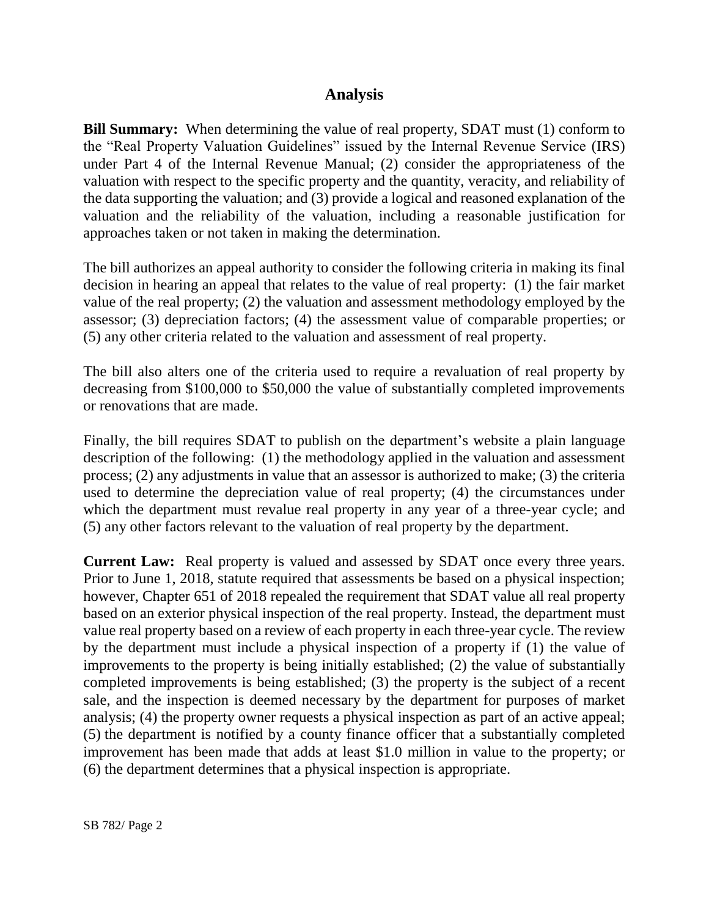### **Analysis**

**Bill Summary:** When determining the value of real property, SDAT must (1) conform to the "Real Property Valuation Guidelines" issued by the Internal Revenue Service (IRS) under Part 4 of the Internal Revenue Manual; (2) consider the appropriateness of the valuation with respect to the specific property and the quantity, veracity, and reliability of the data supporting the valuation; and (3) provide a logical and reasoned explanation of the valuation and the reliability of the valuation, including a reasonable justification for approaches taken or not taken in making the determination.

The bill authorizes an appeal authority to consider the following criteria in making its final decision in hearing an appeal that relates to the value of real property: (1) the fair market value of the real property; (2) the valuation and assessment methodology employed by the assessor; (3) depreciation factors; (4) the assessment value of comparable properties; or (5) any other criteria related to the valuation and assessment of real property.

The bill also alters one of the criteria used to require a revaluation of real property by decreasing from \$100,000 to \$50,000 the value of substantially completed improvements or renovations that are made.

Finally, the bill requires SDAT to publish on the department's website a plain language description of the following: (1) the methodology applied in the valuation and assessment process; (2) any adjustments in value that an assessor is authorized to make; (3) the criteria used to determine the depreciation value of real property; (4) the circumstances under which the department must revalue real property in any year of a three-year cycle; and (5) any other factors relevant to the valuation of real property by the department.

**Current Law:** Real property is valued and assessed by SDAT once every three years. Prior to June 1, 2018, statute required that assessments be based on a physical inspection; however, Chapter 651 of 2018 repealed the requirement that SDAT value all real property based on an exterior physical inspection of the real property. Instead, the department must value real property based on a review of each property in each three-year cycle. The review by the department must include a physical inspection of a property if (1) the value of improvements to the property is being initially established; (2) the value of substantially completed improvements is being established; (3) the property is the subject of a recent sale, and the inspection is deemed necessary by the department for purposes of market analysis; (4) the property owner requests a physical inspection as part of an active appeal; (5) the department is notified by a county finance officer that a substantially completed improvement has been made that adds at least \$1.0 million in value to the property; or (6) the department determines that a physical inspection is appropriate.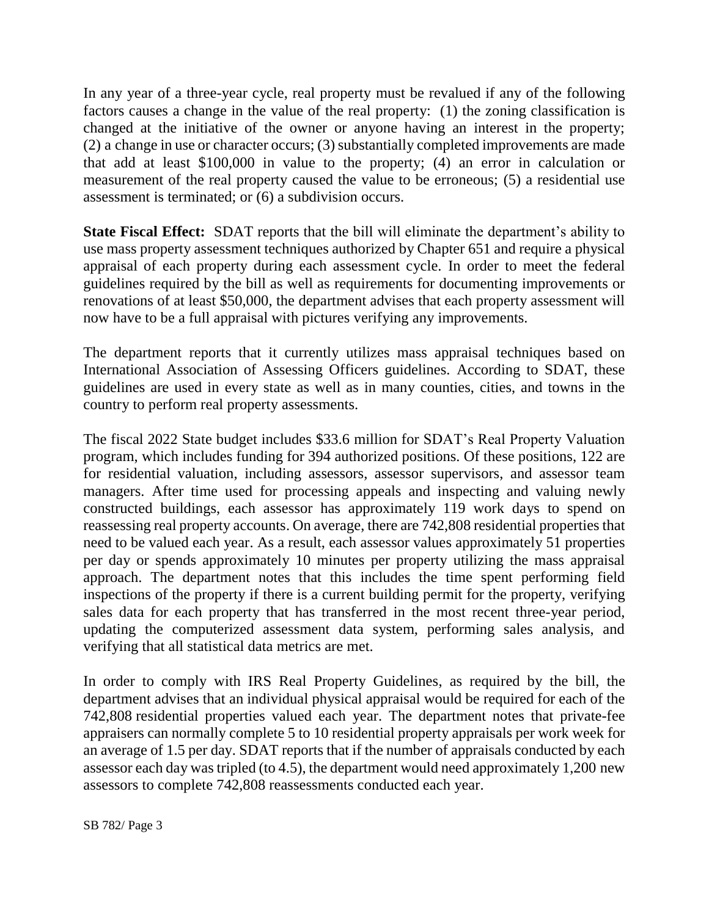In any year of a three-year cycle, real property must be revalued if any of the following factors causes a change in the value of the real property: (1) the zoning classification is changed at the initiative of the owner or anyone having an interest in the property; (2) a change in use or character occurs; (3) substantially completed improvements are made that add at least \$100,000 in value to the property; (4) an error in calculation or measurement of the real property caused the value to be erroneous; (5) a residential use assessment is terminated; or (6) a subdivision occurs.

**State Fiscal Effect:** SDAT reports that the bill will eliminate the department's ability to use mass property assessment techniques authorized by Chapter 651 and require a physical appraisal of each property during each assessment cycle. In order to meet the federal guidelines required by the bill as well as requirements for documenting improvements or renovations of at least \$50,000, the department advises that each property assessment will now have to be a full appraisal with pictures verifying any improvements.

The department reports that it currently utilizes mass appraisal techniques based on International Association of Assessing Officers guidelines. According to SDAT, these guidelines are used in every state as well as in many counties, cities, and towns in the country to perform real property assessments.

The fiscal 2022 State budget includes \$33.6 million for SDAT's Real Property Valuation program, which includes funding for 394 authorized positions. Of these positions, 122 are for residential valuation, including assessors, assessor supervisors, and assessor team managers. After time used for processing appeals and inspecting and valuing newly constructed buildings, each assessor has approximately 119 work days to spend on reassessing real property accounts. On average, there are 742,808 residential properties that need to be valued each year. As a result, each assessor values approximately 51 properties per day or spends approximately 10 minutes per property utilizing the mass appraisal approach. The department notes that this includes the time spent performing field inspections of the property if there is a current building permit for the property, verifying sales data for each property that has transferred in the most recent three-year period, updating the computerized assessment data system, performing sales analysis, and verifying that all statistical data metrics are met.

In order to comply with IRS Real Property Guidelines, as required by the bill, the department advises that an individual physical appraisal would be required for each of the 742,808 residential properties valued each year. The department notes that private-fee appraisers can normally complete 5 to 10 residential property appraisals per work week for an average of 1.5 per day. SDAT reports that if the number of appraisals conducted by each assessor each day was tripled (to 4.5), the department would need approximately 1,200 new assessors to complete 742,808 reassessments conducted each year.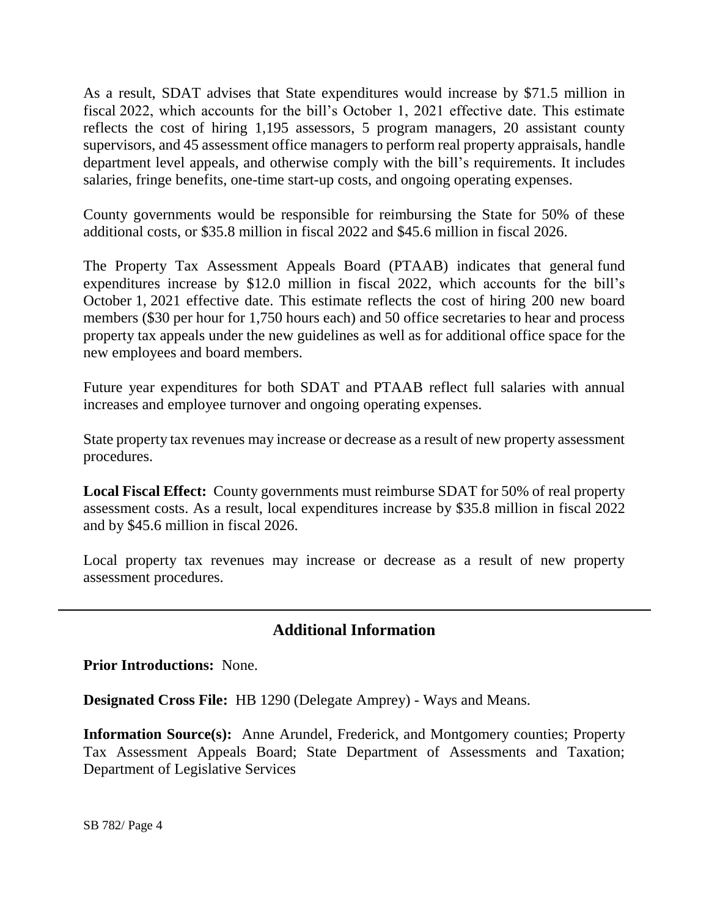As a result, SDAT advises that State expenditures would increase by \$71.5 million in fiscal 2022, which accounts for the bill's October 1, 2021 effective date. This estimate reflects the cost of hiring 1,195 assessors, 5 program managers, 20 assistant county supervisors, and 45 assessment office managers to perform real property appraisals, handle department level appeals, and otherwise comply with the bill's requirements. It includes salaries, fringe benefits, one-time start-up costs, and ongoing operating expenses.

County governments would be responsible for reimbursing the State for 50% of these additional costs, or \$35.8 million in fiscal 2022 and \$45.6 million in fiscal 2026.

The Property Tax Assessment Appeals Board (PTAAB) indicates that general fund expenditures increase by \$12.0 million in fiscal 2022, which accounts for the bill's October 1, 2021 effective date. This estimate reflects the cost of hiring 200 new board members (\$30 per hour for 1,750 hours each) and 50 office secretaries to hear and process property tax appeals under the new guidelines as well as for additional office space for the new employees and board members.

Future year expenditures for both SDAT and PTAAB reflect full salaries with annual increases and employee turnover and ongoing operating expenses.

State property tax revenues may increase or decrease as a result of new property assessment procedures.

**Local Fiscal Effect:** County governments must reimburse SDAT for 50% of real property assessment costs. As a result, local expenditures increase by \$35.8 million in fiscal 2022 and by \$45.6 million in fiscal 2026.

Local property tax revenues may increase or decrease as a result of new property assessment procedures.

## **Additional Information**

**Prior Introductions:** None.

**Designated Cross File:** HB 1290 (Delegate Amprey) - Ways and Means.

**Information Source(s):** Anne Arundel, Frederick, and Montgomery counties; Property Tax Assessment Appeals Board; State Department of Assessments and Taxation; Department of Legislative Services